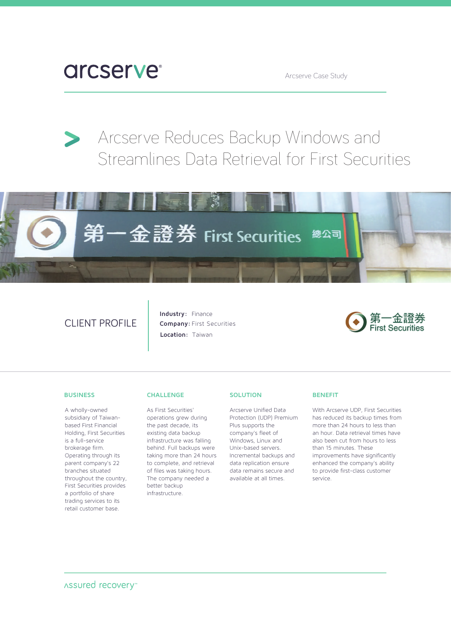# **arcserve**

Arcserve Case Study

## Arcserve Reduces Backup Windows and Streamlines Data Retrieval for First Securities



## CLIENT PROFILE

**Industry:** Finance **Company:** First Securities **Location:** Taiwan



#### **BUSINESS**

A wholly-owned subsidiary of Taiwanbased First Financial Holding, First Securities is a full-service brokerage firm. Operating through its parent company's 22 branches situated throughout the country, First Securities provides a portfolio of share trading services to its retail customer base.

#### **CHALLENGE**

As First Securities' operations grew during the past decade, its existing data backup infrastructure was falling behind. Full backups were taking more than 24 hours to complete, and retrieval of files was taking hours. The company needed a better backup infrastructure.

#### **SOLUTION**

Arcserve Unified Data Protection (UDP) Premium Plus supports the company's fleet of Windows, Linux and Unix-based servers. Incremental backups and data replication ensure data remains secure and available at all times.

#### **BENEFIT**

With Arcserve UDP, First Securities has reduced its backup times from more than 24 hours to less than an hour. Data retrieval times have also been cut from hours to less than 15 minutes. These improvements have significantly enhanced the company's ability to provide first-class customer service.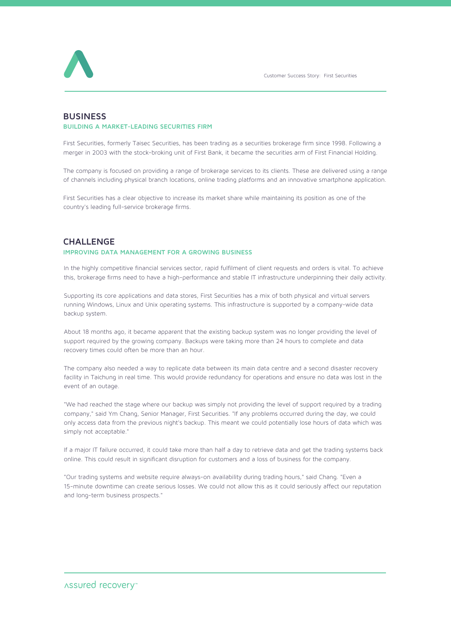

## **BUSINESS BUILDING A MARKET-LEADING SECURITIES FIRM**

First Securities, formerly Taisec Securities, has been trading as a securities brokerage firm since 1998. Following a merger in 2003 with the stock-broking unit of First Bank, it became the securities arm of First Financial Holding.

The company is focused on providing a range of brokerage services to its clients. These are delivered using a range of channels including physical branch locations, online trading platforms and an innovative smartphone application.

First Securities has a clear objective to increase its market share while maintaining its position as one of the country's leading full-service brokerage firms.

## **CHALLENGE**

### **IMPROVING DATA MANAGEMENT FOR A GROWING BUSINESS**

In the highly competitive financial services sector, rapid fulfilment of client requests and orders is vital. To achieve this, brokerage firms need to have a high-performance and stable IT infrastructure underpinning their daily activity.

Supporting its core applications and data stores, First Securities has a mix of both physical and virtual servers running Windows, Linux and Unix operating systems. This infrastructure is supported by a company-wide data backup system.

About 18 months ago, it became apparent that the existing backup system was no longer providing the level of support required by the growing company. Backups were taking more than 24 hours to complete and data recovery times could often be more than an hour.

The company also needed a way to replicate data between its main data centre and a second disaster recovery facility in Taichung in real time. This would provide redundancy for operations and ensure no data was lost in the event of an outage.

"We had reached the stage where our backup was simply not providing the level of support required by a trading company," said Ym Chang, Senior Manager, First Securities. "If any problems occurred during the day, we could only access data from the previous night's backup. This meant we could potentially lose hours of data which was simply not acceptable."

If a major IT failure occurred, it could take more than half a day to retrieve data and get the trading systems back online. This could result in significant disruption for customers and a loss of business for the company.

"Our trading systems and website require always-on availability during trading hours," said Chang. "Even a 15-minute downtime can create serious losses. We could not allow this as it could seriously affect our reputation and long-term business prospects."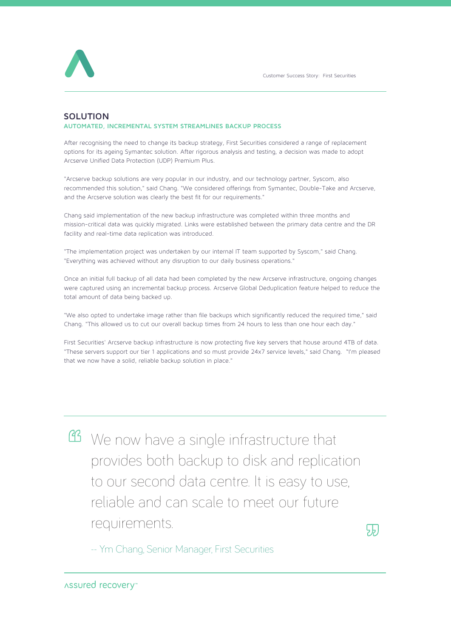

## **SOLUTION**

### **AUTOMATED, INCREMENTAL SYSTEM STREAMLINES BACKUP PROCESS**

After recognising the need to change its backup strategy, First Securities considered a range of replacement options for its ageing Symantec solution. After rigorous analysis and testing, a decision was made to adopt Arcserve Unified Data Protection (UDP) Premium Plus.

"Arcserve backup solutions are very popular in our industry, and our technology partner, Syscom, also recommended this solution," said Chang. "We considered offerings from Symantec, Double-Take and Arcserve, and the Arcserve solution was clearly the best fit for our requirements."

Chang said implementation of the new backup infrastructure was completed within three months and mission-critical data was quickly migrated. Links were established between the primary data centre and the DR facility and real-time data replication was introduced.

"The implementation project was undertaken by our internal IT team supported by Syscom," said Chang. "Everything was achieved without any disruption to our daily business operations."

Once an initial full backup of all data had been completed by the new Arcserve infrastructure, ongoing changes were captured using an incremental backup process. Arcserve Global Deduplication feature helped to reduce the total amount of data being backed up.

"We also opted to undertake image rather than file backups which significantly reduced the required time," said Chang. "This allowed us to cut our overall backup times from 24 hours to less than one hour each day."

First Securities' Arcserve backup infrastructure is now protecting five key servers that house around 4TB of data. "These servers support our tier 1 applications and so must provide 24x7 service levels," said Chang. "I'm pleased that we now have a solid, reliable backup solution in place."

We now have a single infrastructure that provides both backup to disk and replication to our second data centre. It is easy to use, reliable and can scale to meet our future requirements.

邪

-- Ym Chang, Senior Manager, First Securities